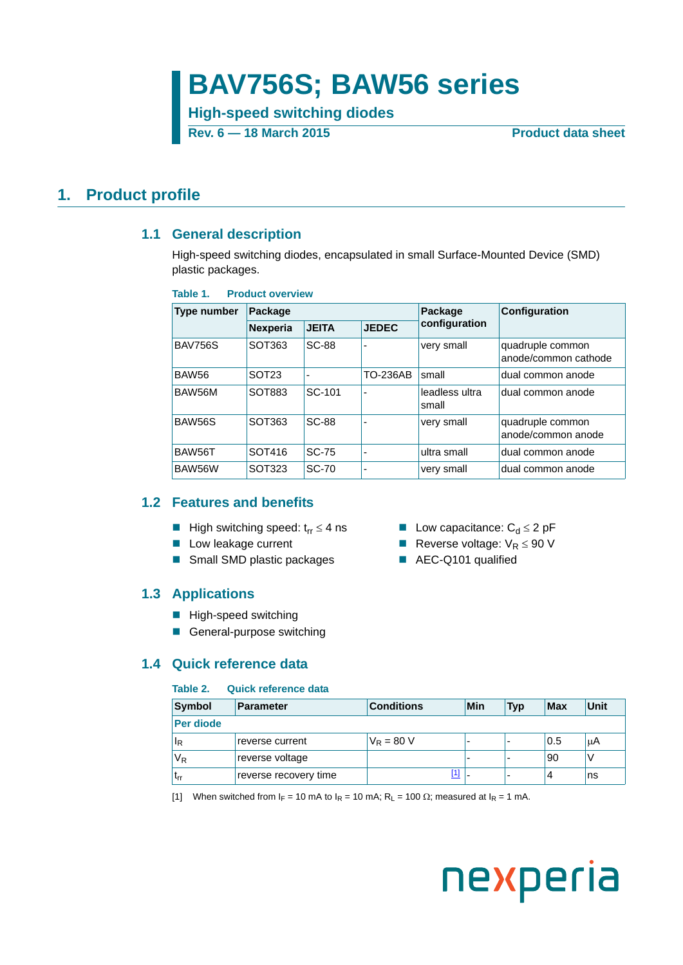## **BAV756S; BAW56 series**

**High-speed switching diodes**

**Rev. 6 — 18 March 2015 Product data sheet**

#### <span id="page-0-2"></span><span id="page-0-1"></span>**1. Product profile**

#### **1.1 General description**

High-speed switching diodes, encapsulated in small Surface-Mounted Device (SMD) plastic packages.

#### **Table 1. Product overview**

| <b>Type number</b> | Package           |                          |                 | Package                 | Configuration                            |  |
|--------------------|-------------------|--------------------------|-----------------|-------------------------|------------------------------------------|--|
|                    | Nexperia          | <b>JEITA</b>             | <b>JEDEC</b>    | configuration           |                                          |  |
| <b>BAV756S</b>     | SOT363            | <b>SC-88</b>             | ۰               | very small              | quadruple common<br>anode/common cathode |  |
| <b>BAW56</b>       | SOT <sub>23</sub> | $\overline{\phantom{a}}$ | <b>TO-236AB</b> | small                   | dual common anode                        |  |
| BAW56M             | SOT883            | SC-101                   | ۰               | leadless ultra<br>small | dual common anode                        |  |
| BAW56S             | SOT363            | <b>SC-88</b>             |                 | very small              | quadruple common<br>anode/common anode   |  |
| BAW56T             | SOT416            | <b>SC-75</b>             | ۰               | ultra small             | dual common anode                        |  |
| BAW56W             | SOT323            | <b>SC-70</b>             |                 | very small              | dual common anode                        |  |

#### <span id="page-0-3"></span>**1.2 Features and benefits**

- High switching speed:  $t_{rr} \leq 4$  ns <br>■ Low capacitance:  $C_d \leq 2$  pF
- **Low leakage current COV Reverse voltage:**  $V_R \le 90$  V
- Small SMD plastic packages AEC-Q101 qualified

#### <span id="page-0-4"></span>**1.3 Applications**

- **High-speed switching**
- General-purpose switching

#### <span id="page-0-5"></span>**1.4 Quick reference data**

#### **Table 2. Quick reference data**

| Symbol         | <b>Parameter</b>      | <b>Conditions</b> |     | Min                      | 'Typ | Max | Unit |
|----------------|-----------------------|-------------------|-----|--------------------------|------|-----|------|
| Per diode      |                       |                   |     |                          |      |     |      |
| ΙR             | reverse current       | $V_R = 80 V$      |     | $\overline{\phantom{0}}$ |      | 0.5 | uΑ   |
| V <sub>R</sub> | reverse voltage       |                   |     | -                        |      | 90  |      |
| <b>Lrr</b>     | reverse recovery time |                   | [1] | -                        |      |     | ns   |

<span id="page-0-0"></span>[1] When switched from  $I_F = 10$  mA to  $I_R = 10$  mA;  $R_L = 100 \Omega$ ; measured at  $I_R = 1$  mA.

# nexperia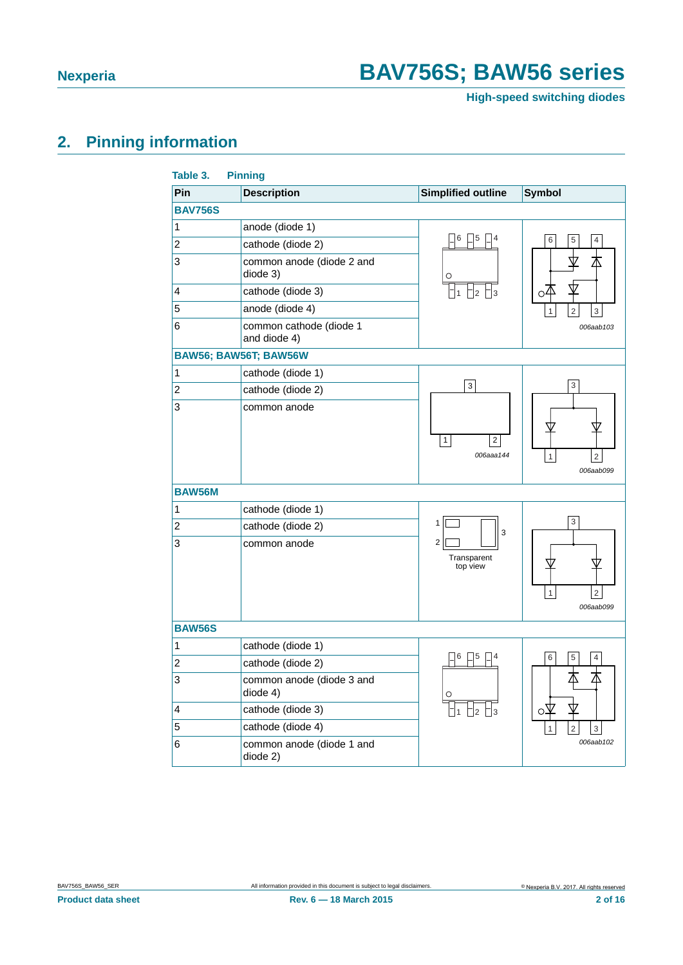**High-speed switching diodes**

### <span id="page-1-0"></span>**2. Pinning information**

| Table 3.         | <b>Pinning</b>                          |                                             |                                             |
|------------------|-----------------------------------------|---------------------------------------------|---------------------------------------------|
| Pin              | <b>Description</b>                      | <b>Simplified outline</b>                   | <b>Symbol</b>                               |
| <b>BAV756S</b>   |                                         |                                             |                                             |
| 1                | anode (diode 1)                         |                                             |                                             |
| $\overline{c}$   | cathode (diode 2)                       | 6<br>5                                      | 6<br>5<br>4                                 |
| 3                | common anode (diode 2 and<br>diode 3)   | О                                           | Δ                                           |
| 4                | cathode (diode 3)                       |                                             | ₩<br>$\circ \overline{4}$                   |
| 5                | anode (diode 4)                         |                                             | $\overline{2}$<br>3<br>$\mathbf{1}$         |
| 6                | common cathode (diode 1<br>and diode 4) |                                             | 006aab103                                   |
|                  | BAW56; BAW56T; BAW56W                   |                                             |                                             |
| $\mathbf 1$      | cathode (diode 1)                       |                                             |                                             |
| $\overline{c}$   | cathode (diode 2)                       | 3                                           | 3                                           |
| 3                | common anode                            | $\mathbf{1}$<br>$\overline{c}$<br>006aaa144 | $\overline{c}$<br>1<br>006aab099            |
| <b>BAW56M</b>    |                                         |                                             |                                             |
| 1                | cathode (diode 1)                       |                                             |                                             |
| $\overline{c}$   | cathode (diode 2)                       | $\mathbf{1}$<br>3                           | 3                                           |
| 3                | common anode                            | $\overline{c}$<br>Transparent<br>top view   | $\mathbf{1}$<br>$\overline{2}$<br>006aab099 |
| <b>BAW56S</b>    |                                         |                                             |                                             |
| $\mathbf{1}$     | cathode (diode 1)                       |                                             |                                             |
| $\boldsymbol{2}$ | cathode (diode 2)                       | 5                                           | 6<br>4                                      |
| 3                | common anode (diode 3 and<br>diode 4)   |                                             | Δ                                           |
| 4                | cathode (diode 3)                       | 2                                           | О                                           |
| 5                | cathode (diode 4)                       |                                             | $\overline{2}$<br>3                         |
| 6                | common anode (diode 1 and<br>diode 2)   |                                             | 006aab102                                   |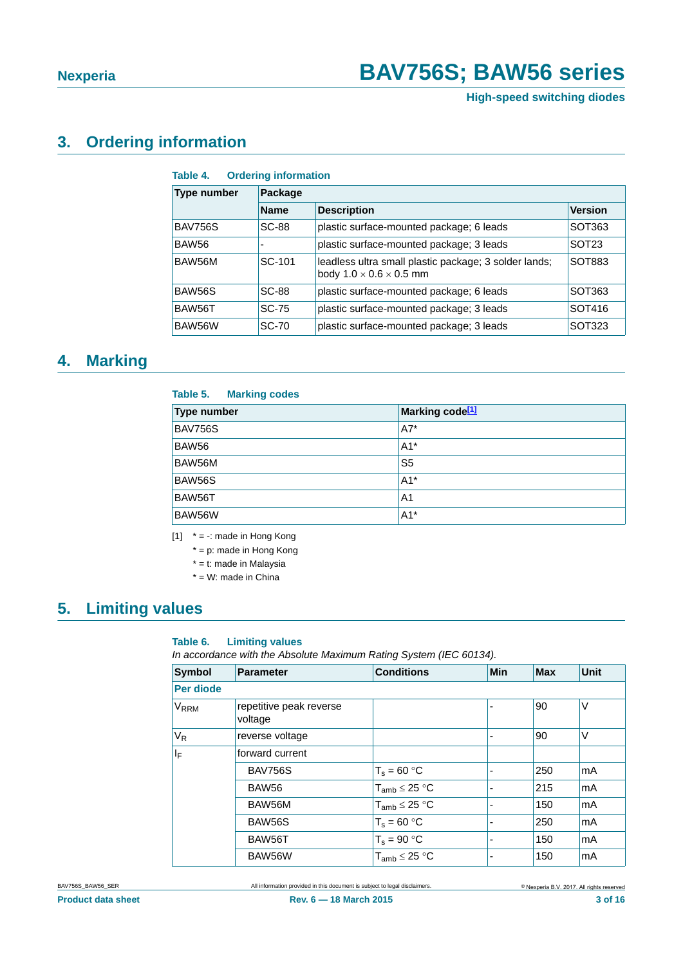**High-speed switching diodes**

#### <span id="page-2-1"></span>**3. Ordering information**

| Table 4. |  | <b>Ordering information</b> |
|----------|--|-----------------------------|
|----------|--|-----------------------------|

| <b>Type number</b> | <b>Package</b>           |                                                                                              |                   |  |  |  |
|--------------------|--------------------------|----------------------------------------------------------------------------------------------|-------------------|--|--|--|
|                    | <b>Name</b>              | <b>Description</b>                                                                           | <b>Version</b>    |  |  |  |
| BAV756S            | <b>SC-88</b>             | plastic surface-mounted package; 6 leads                                                     | SOT363            |  |  |  |
| BAW <sub>56</sub>  | $\overline{\phantom{0}}$ | plastic surface-mounted package; 3 leads                                                     | SOT <sub>23</sub> |  |  |  |
| BAW56M             | SC-101                   | leadless ultra small plastic package; 3 solder lands;<br>body $1.0 \times 0.6 \times 0.5$ mm | SOT883            |  |  |  |
| BAW56S             | <b>SC-88</b>             | plastic surface-mounted package; 6 leads                                                     | SOT363            |  |  |  |
| BAW56T             | <b>SC-75</b>             | plastic surface-mounted package; 3 leads                                                     | SOT416            |  |  |  |
| BAW56W             | <b>SC-70</b>             | plastic surface-mounted package; 3 leads                                                     | SOT323            |  |  |  |

#### <span id="page-2-2"></span>**4. Marking**

#### **Table 5. Marking codes**

| <b>Type number</b> | Marking code <sup>[1]</sup> |
|--------------------|-----------------------------|
| <b>BAV756S</b>     | $A7^*$                      |
| BAW56              | $A1*$                       |
| BAW56M             | S <sub>5</sub>              |
| <b>BAW56S</b>      | $A1*$                       |
| BAW56T             | A <sub>1</sub>              |
| BAW56W             | $A1^*$                      |

<span id="page-2-0"></span> $[1]$  \* = -: made in Hong Kong

 $* = p$ : made in Hong Kong

\* = t: made in Malaysia

\* = W: made in China

#### <span id="page-2-3"></span>**5. Limiting values**

#### **Table 6. Limiting values**

*In accordance with the Absolute Maximum Rating System (IEC 60134).*

| <b>Symbol</b>           | <b>Parameter</b>                   | <b>Conditions</b>    | <b>Min</b> | <b>Max</b> | <b>Unit</b> |
|-------------------------|------------------------------------|----------------------|------------|------------|-------------|
| Per diode               |                                    |                      |            |            |             |
| <b>V</b> <sub>RRM</sub> | repetitive peak reverse<br>voltage |                      |            | 90         | V           |
| $V_R$                   | reverse voltage                    |                      |            | 90         | V           |
| ΙF                      | forward current                    |                      |            |            |             |
|                         | <b>BAV756S</b>                     | $T_s = 60 °C$        |            | 250        | mA          |
|                         | BAW56                              | $T_{amb} \leq 25 °C$ |            | 215        | mA          |
|                         | BAW56M                             | $T_{amb} \leq 25 °C$ |            | 150        | mA          |
|                         | BAW56S                             | $T_s = 60 °C$        |            | 250        | mA          |
|                         | BAW56T                             | $T_s = 90 °C$        |            | 150        | mA          |
|                         | BAW56W                             | $T_{amb} \leq 25 °C$ |            | 150        | mA          |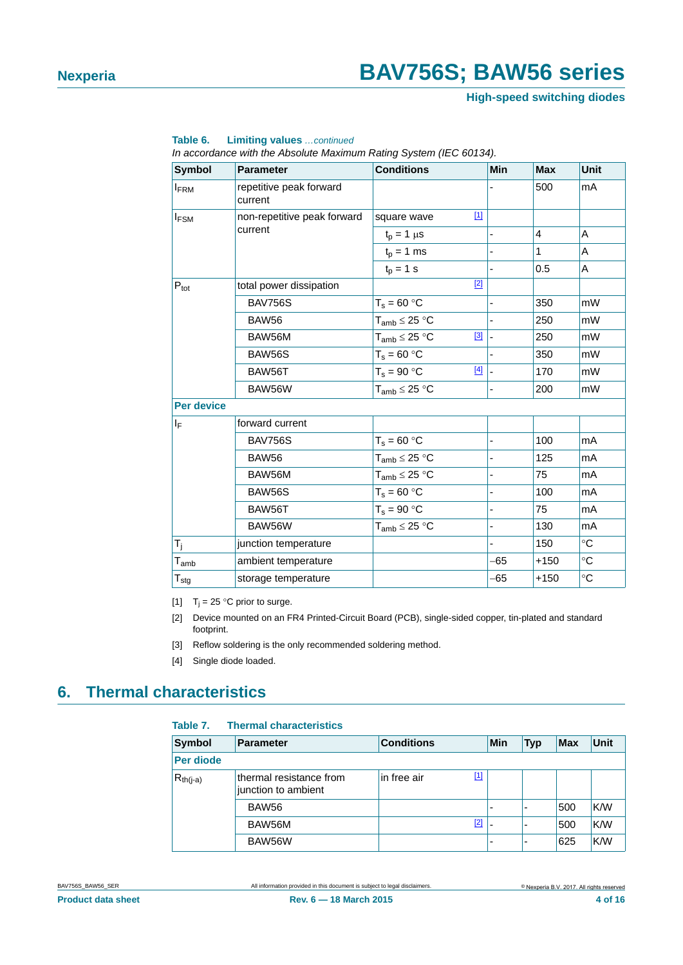**High-speed switching diodes**

| <b>Symbol</b>                               | <b>Parameter</b>                                                                                                                                                                                                                                                                                                                                                                                                                                                                                                                                                                                                                                                                      | <b>Conditions</b>    | Min |                | <b>Unit</b>     |
|---------------------------------------------|---------------------------------------------------------------------------------------------------------------------------------------------------------------------------------------------------------------------------------------------------------------------------------------------------------------------------------------------------------------------------------------------------------------------------------------------------------------------------------------------------------------------------------------------------------------------------------------------------------------------------------------------------------------------------------------|----------------------|-----|----------------|-----------------|
| <b>FRM</b>                                  | repetitive peak forward<br>current                                                                                                                                                                                                                                                                                                                                                                                                                                                                                                                                                                                                                                                    |                      |     | 500            | mA              |
| $I_{FSM}$                                   | non-repetitive peak forward                                                                                                                                                                                                                                                                                                                                                                                                                                                                                                                                                                                                                                                           | $[1]$<br>square wave |     |                |                 |
|                                             | current                                                                                                                                                                                                                                                                                                                                                                                                                                                                                                                                                                                                                                                                               | $t_p = 1 \mu s$      |     | $\overline{4}$ | A               |
|                                             |                                                                                                                                                                                                                                                                                                                                                                                                                                                                                                                                                                                                                                                                                       | $t_p = 1$ ms         |     | $\mathbf{1}$   | A               |
|                                             |                                                                                                                                                                                                                                                                                                                                                                                                                                                                                                                                                                                                                                                                                       | $t_{p} = 1$ s        |     | 0.5            | A               |
|                                             | <b>Max</b><br>$[2]$<br>total power dissipation<br>350<br><b>BAV756S</b><br>$T_s = 60 °C$<br><b>BAW56</b><br>$T_{amb} \leq 25 °C$<br>250<br>[3]<br>250<br>BAW56M<br>$T_{amb} \leq 25 °C$<br>$T_s = 60 °C$<br><b>BAW56S</b><br>350<br>$[4]$<br>$T_s = 90 °C$<br>170<br>BAW56T<br>$T_{amb} \leq 25 °C$<br>BAW56W<br>200<br>forward current<br>$T_s = 60 °C$<br>100<br><b>BAV756S</b><br>$T_{amb} \leq 25 °C$<br><b>BAW56</b><br>125<br>BAW56M<br>$T_{amb} \leq 25 °C$<br>75<br>$T_s = 60 °C$<br><b>BAW56S</b><br>100<br>$T_s = 90 °C$<br>75<br>BAW56T<br>$T_{amb} \leq 25 °C$<br>BAW56W<br>130<br>150<br>junction temperature<br>ambient temperature<br>$-65$<br>$+150$<br>-65<br>$+150$ |                      |     |                |                 |
|                                             |                                                                                                                                                                                                                                                                                                                                                                                                                                                                                                                                                                                                                                                                                       |                      |     |                | mW              |
| $P_{\text{tot}}$<br><b>Per device</b><br>ΙF |                                                                                                                                                                                                                                                                                                                                                                                                                                                                                                                                                                                                                                                                                       |                      |     |                | mW              |
|                                             |                                                                                                                                                                                                                                                                                                                                                                                                                                                                                                                                                                                                                                                                                       |                      |     |                | mW              |
|                                             |                                                                                                                                                                                                                                                                                                                                                                                                                                                                                                                                                                                                                                                                                       |                      |     |                | mW              |
|                                             |                                                                                                                                                                                                                                                                                                                                                                                                                                                                                                                                                                                                                                                                                       |                      |     |                | mW              |
|                                             |                                                                                                                                                                                                                                                                                                                                                                                                                                                                                                                                                                                                                                                                                       |                      |     |                | mW              |
|                                             |                                                                                                                                                                                                                                                                                                                                                                                                                                                                                                                                                                                                                                                                                       |                      |     |                |                 |
|                                             |                                                                                                                                                                                                                                                                                                                                                                                                                                                                                                                                                                                                                                                                                       |                      |     |                |                 |
|                                             |                                                                                                                                                                                                                                                                                                                                                                                                                                                                                                                                                                                                                                                                                       |                      |     | mA             |                 |
|                                             |                                                                                                                                                                                                                                                                                                                                                                                                                                                                                                                                                                                                                                                                                       |                      |     | mA             |                 |
|                                             |                                                                                                                                                                                                                                                                                                                                                                                                                                                                                                                                                                                                                                                                                       |                      |     |                | mA              |
|                                             |                                                                                                                                                                                                                                                                                                                                                                                                                                                                                                                                                                                                                                                                                       |                      |     |                | mA              |
|                                             |                                                                                                                                                                                                                                                                                                                                                                                                                                                                                                                                                                                                                                                                                       |                      |     |                | mA              |
|                                             |                                                                                                                                                                                                                                                                                                                                                                                                                                                                                                                                                                                                                                                                                       |                      |     |                | mA              |
| $T_j$                                       |                                                                                                                                                                                                                                                                                                                                                                                                                                                                                                                                                                                                                                                                                       |                      |     |                | $^{\circ}$ C    |
| $T_{amb}$                                   |                                                                                                                                                                                                                                                                                                                                                                                                                                                                                                                                                                                                                                                                                       |                      |     |                | $\rm ^{\circ}C$ |
| $T_{\text{stg}}$                            | storage temperature                                                                                                                                                                                                                                                                                                                                                                                                                                                                                                                                                                                                                                                                   |                      |     |                | $\circ$ C       |

**Table 6. Limiting values** *…continued*

*In accordance with the Absolute Maximum Rating System (IEC 60134).*

<span id="page-3-0"></span>[1]  $T_i = 25$  °C prior to surge.

- <span id="page-3-1"></span>[2] Device mounted on an FR4 Printed-Circuit Board (PCB), single-sided copper, tin-plated and standard footprint.
- <span id="page-3-2"></span>[3] Reflow soldering is the only recommended soldering method.
- <span id="page-3-3"></span>[4] Single diode loaded.

#### <span id="page-3-4"></span>**6. Thermal characteristics**

#### **Table 7. Thermal characteristics**

| <b>Symbol</b> | <b>Parameter</b>                               | <b>Conditions</b> |     |   | <b>Typ</b>               | <b>Max</b> | Unit |
|---------------|------------------------------------------------|-------------------|-----|---|--------------------------|------------|------|
| Per diode     |                                                |                   |     |   |                          |            |      |
| $R_{th(j-a)}$ | thermal resistance from<br>junction to ambient | in free air       | [1] |   |                          |            |      |
|               | BAW56                                          |                   |     | - | $\overline{\phantom{a}}$ | 500        | K/W  |
|               | BAW56M                                         |                   | [2] |   | $\overline{\phantom{0}}$ | 500        | K/W  |
|               | BAW56W                                         |                   |     | - | $\overline{\phantom{0}}$ | 625        | K/W  |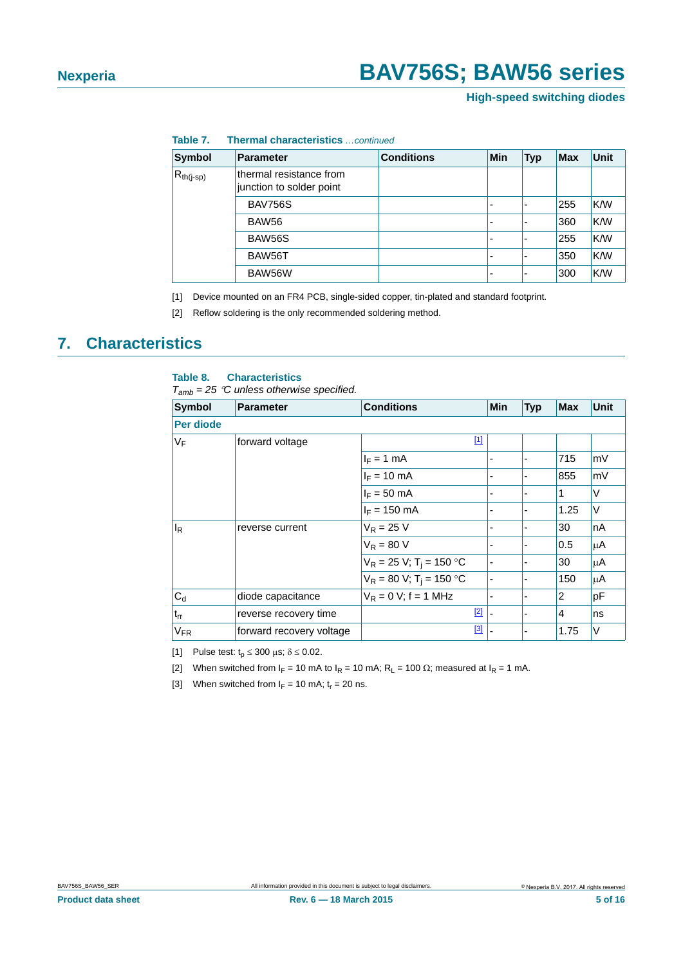**High-speed switching diodes**

| Symbol         | <b>Parameter</b>                                    | <b>Conditions</b> | <b>Min</b>               | <b>Typ</b>               | <b>Max</b> | <b>Unit</b> |
|----------------|-----------------------------------------------------|-------------------|--------------------------|--------------------------|------------|-------------|
| $R_{th(j-sp)}$ | thermal resistance from<br>junction to solder point |                   |                          |                          |            |             |
|                | <b>BAV756S</b>                                      |                   | $\overline{\phantom{0}}$ |                          | 255        | K/W         |
|                | BAW56                                               |                   | $\overline{\phantom{0}}$ |                          | 360        | K/W         |
|                | <b>BAW56S</b>                                       |                   | $\overline{\phantom{0}}$ |                          | 255        | K/W         |
|                | BAW56T                                              |                   | $\overline{\phantom{0}}$ | $\overline{\phantom{0}}$ | 350        | K/W         |
|                | BAW56W                                              |                   | ٠                        |                          | 300        | K/W         |

**Table 7. Thermal characteristics** *…continued*

<span id="page-4-0"></span>[1] Device mounted on an FR4 PCB, single-sided copper, tin-plated and standard footprint.

<span id="page-4-1"></span>[2] Reflow soldering is the only recommended soldering method.

#### <span id="page-4-5"></span>**7. Characteristics**

#### **Table 8. Characteristics**

*Tamb = 25 C unless otherwise specified.*

| <b>Symbol</b> | <b>Parameter</b>         | <b>Conditions</b>                      | Min | <b>Typ</b> | <b>Max</b> | Unit    |
|---------------|--------------------------|----------------------------------------|-----|------------|------------|---------|
| Per diode     |                          |                                        |     |            |            |         |
| $V_F$         | forward voltage          | $\boxed{1}$                            |     |            |            |         |
|               |                          | $I_F = 1$ mA                           |     |            | 715        | mV      |
|               |                          | $I_F = 10 \text{ mA}$                  |     |            | 855        | mV      |
|               |                          | $I_F = 50$ mA                          |     | -          | 1          | V       |
|               |                          | $I_F = 150$ mA                         |     |            | 1.25       | $\vee$  |
| ΙŖ            | reverse current          | $V_R = 25 V$                           |     | -          | 30         | nA      |
|               |                          | $V_R = 80 V$                           |     |            | 0.5        | μA      |
|               |                          | $V_R = 25 V$ ; T <sub>i</sub> = 150 °C |     |            | 30         | $\mu$ A |
|               |                          | $V_R = 80 V$ ; T <sub>i</sub> = 150 °C | ۰   | -          | 150        | μA      |
| $C_d$         | diode capacitance        | $V_R = 0 V$ ; f = 1 MHz                |     |            | 2          | pF      |
| $t_{rr}$      | reverse recovery time    | $[2]$                                  |     | -          | 4          | ns      |
| $V_{FR}$      | forward recovery voltage | [3]                                    |     |            | 1.75       | $\vee$  |

<span id="page-4-2"></span>[1] Pulse test:  $t_p \le 300 \text{ }\mu\text{s}; \delta \le 0.02$ .

<span id="page-4-3"></span>[2] When switched from  $I_F = 10$  mA to  $I_R = 10$  mA;  $R_L = 100 \Omega$ ; measured at  $I_R = 1$  mA.

<span id="page-4-4"></span>[3] When switched from  $I_F = 10$  mA;  $t_r = 20$  ns.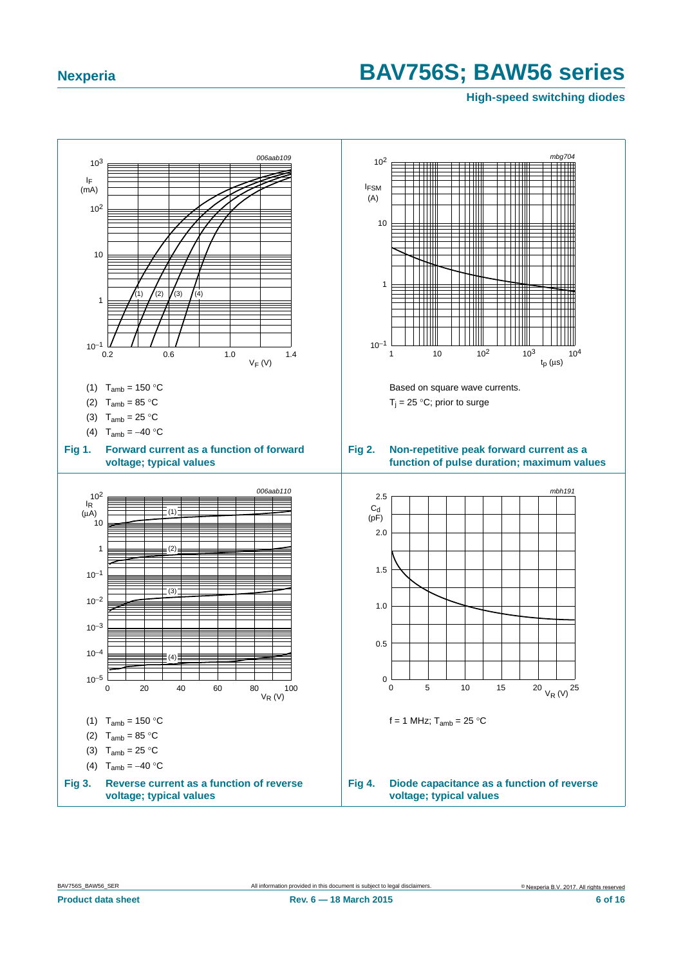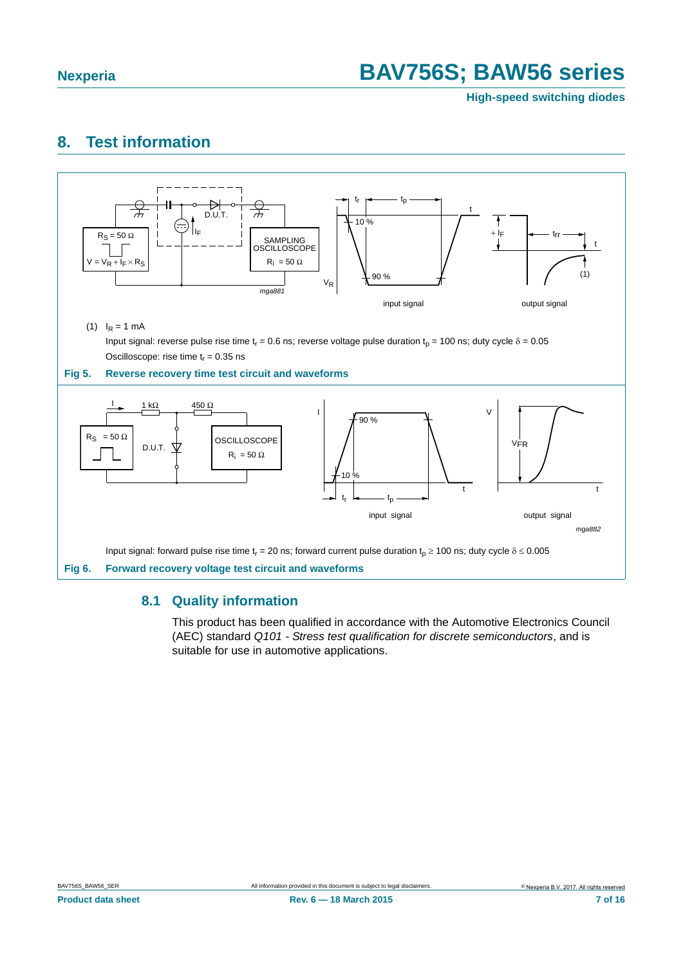**High-speed switching diodes**

#### <span id="page-6-0"></span>**8. Test information**



#### <span id="page-6-1"></span>**8.1 Quality information**

This product has been qualified in accordance with the Automotive Electronics Council (AEC) standard *Q101 - Stress test qualification for discrete semiconductors*, and is suitable for use in automotive applications.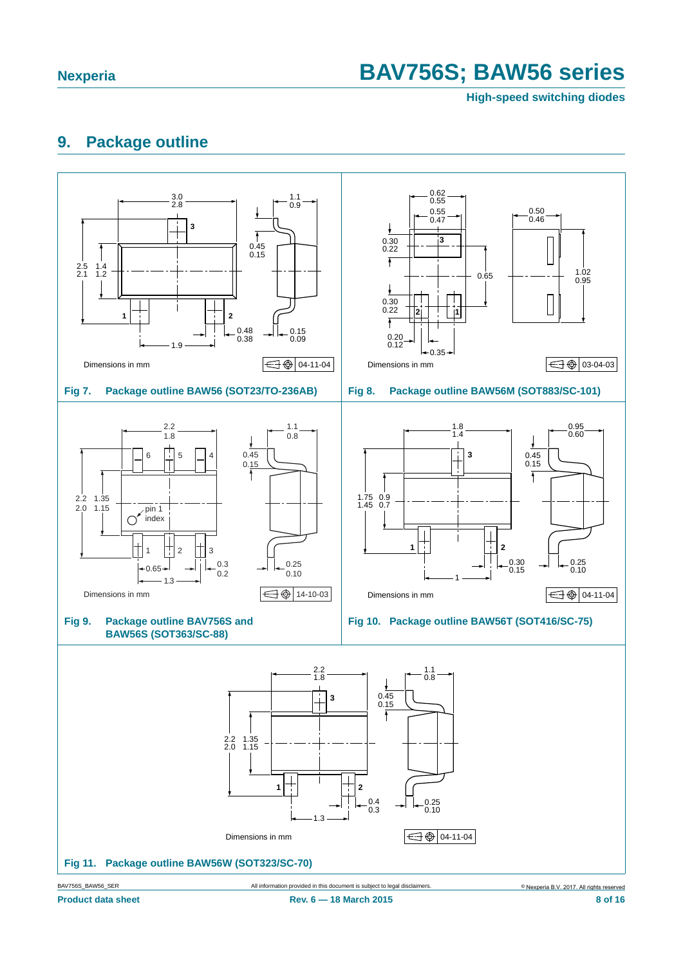**High-speed switching diodes**

#### <span id="page-7-0"></span>**9. Package outline**

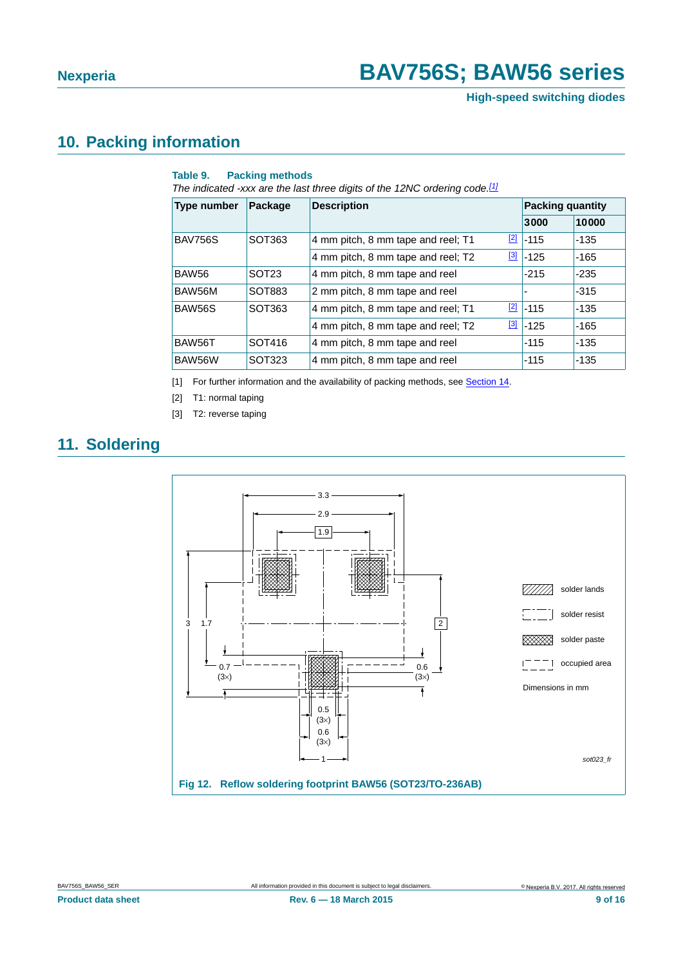**High-speed switching diodes**

#### <span id="page-8-3"></span>**10. Packing information**

#### **Table 9. Packing methods**

*The indicated -xxx are the last three digits of the 12NC ordering code.[\[1\]](#page-8-0)*

| Type number    | Package           | <b>Description</b>                 |             | <b>Packing quantity</b> |        |
|----------------|-------------------|------------------------------------|-------------|-------------------------|--------|
|                |                   |                                    |             | 3000                    | 10000  |
| <b>BAV756S</b> | SOT363            | 4 mm pitch, 8 mm tape and reel; T1 | $\boxed{2}$ | $-115$                  | -135   |
|                |                   | 4 mm pitch, 8 mm tape and reel; T2 | $^{[3]}$    | $-125$                  | $-165$ |
| <b>BAW56</b>   | SOT <sub>23</sub> | 4 mm pitch, 8 mm tape and reel     |             | $-215$                  | $-235$ |
| BAW56M         | SOT883            | 2 mm pitch, 8 mm tape and reel     |             |                         | $-315$ |
| BAW56S         | SOT363            | 4 mm pitch, 8 mm tape and reel; T1 | $\boxed{2}$ | $-115$                  | $-135$ |
|                |                   | 4 mm pitch, 8 mm tape and reel; T2 | $\boxed{3}$ | $-125$                  | $-165$ |
| BAW56T         | SOT416            | 4 mm pitch, 8 mm tape and reel     |             | $-115$                  | $-135$ |
| BAW56W         | SOT323            | 4 mm pitch, 8 mm tape and reel     |             | $-115$                  | $-135$ |

<span id="page-8-0"></span>[1] For further information and the availability of packing methods, see [Section](#page-14-0) 14.

<span id="page-8-1"></span>[2] T1: normal taping

<span id="page-8-2"></span>[3] T2: reverse taping

#### <span id="page-8-4"></span>**11. Soldering**

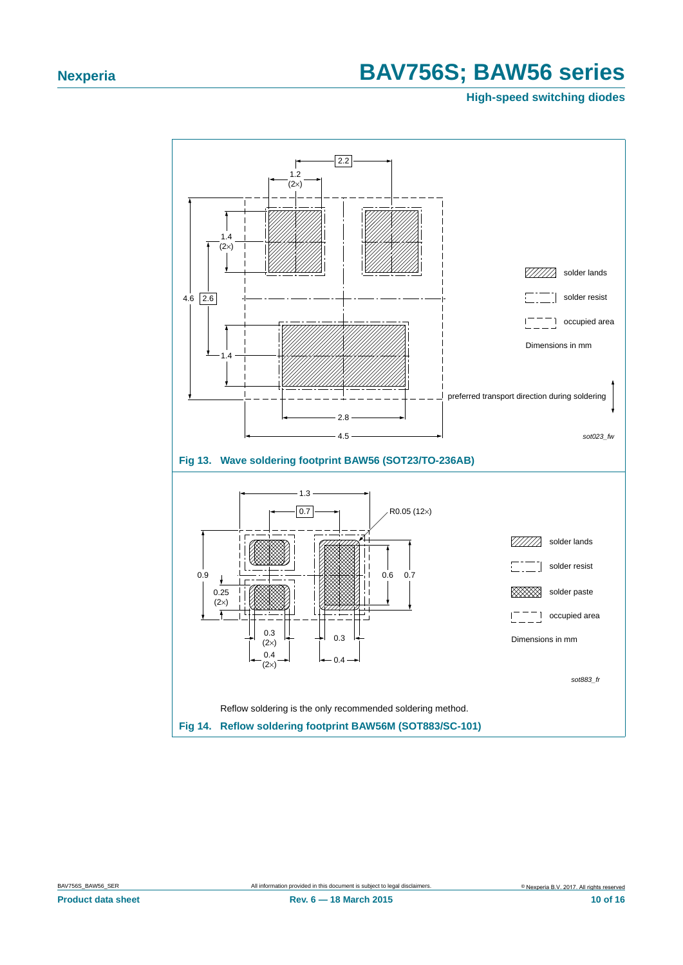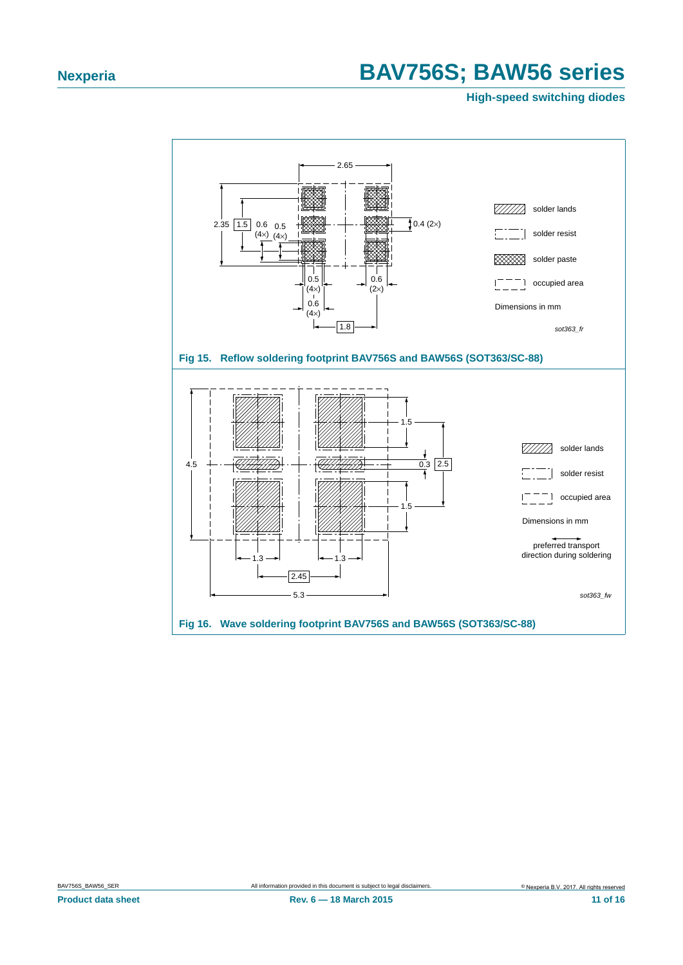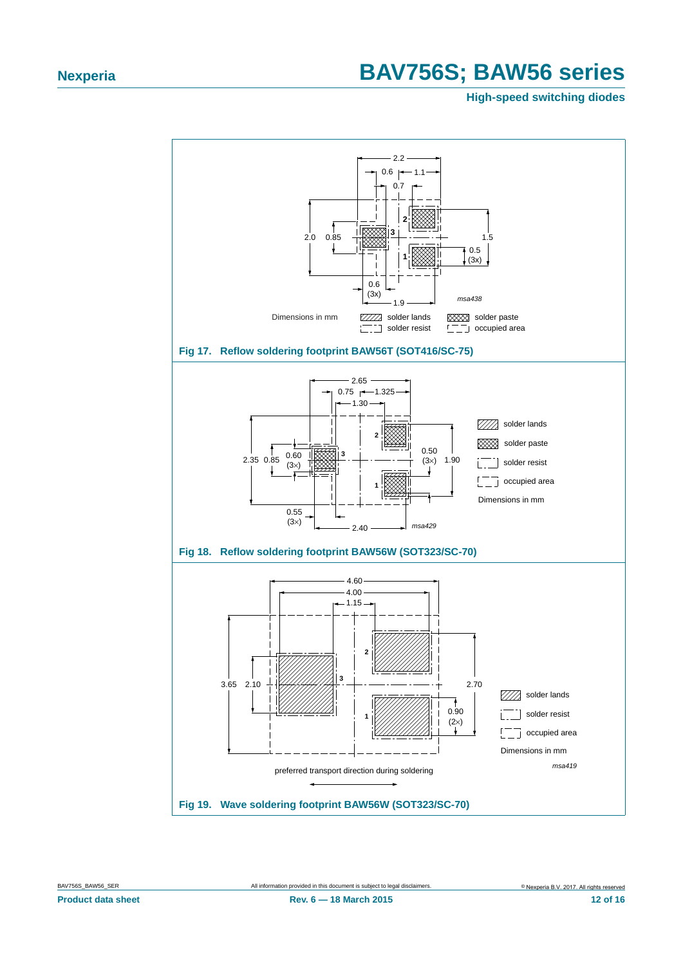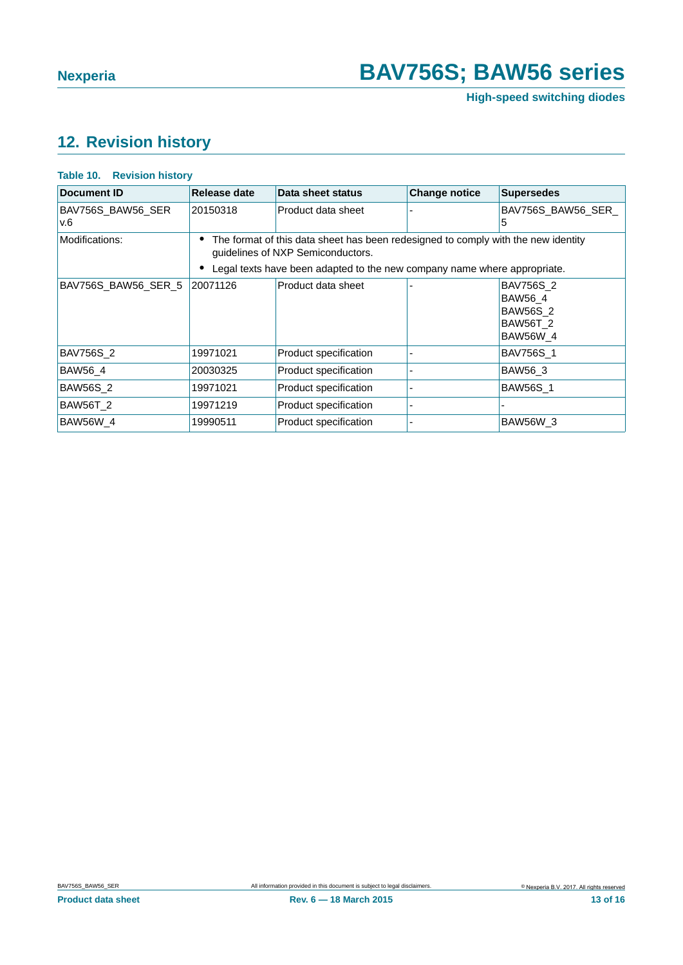**High-speed switching diodes**

### <span id="page-12-0"></span>**12. Revision history**

| <b>Document ID</b>       | Release date                                                                                                           | Data sheet status     | <b>Change notice</b> | <b>Supersedes</b>                                                             |  |
|--------------------------|------------------------------------------------------------------------------------------------------------------------|-----------------------|----------------------|-------------------------------------------------------------------------------|--|
| BAV756S_BAW56_SER<br>v.6 | 20150318                                                                                                               | Product data sheet    |                      | BAV756S BAW56 SER<br>5                                                        |  |
| Modifications:           | The format of this data sheet has been redesigned to comply with the new identity<br>guidelines of NXP Semiconductors. |                       |                      |                                                                               |  |
|                          | Legal texts have been adapted to the new company name where appropriate.                                               |                       |                      |                                                                               |  |
| BAV756S BAW56 SER 5      | 20071126                                                                                                               | Product data sheet    |                      | <b>BAV756S 2</b><br>BAW56 4<br><b>BAW56S 2</b><br><b>BAW56T 2</b><br>BAW56W_4 |  |
| <b>BAV756S 2</b>         | 19971021                                                                                                               | Product specification |                      | BAV756S 1                                                                     |  |
| <b>BAW56 4</b>           | 20030325                                                                                                               | Product specification |                      | <b>BAW56 3</b>                                                                |  |
| <b>BAW56S 2</b>          | 19971021                                                                                                               | Product specification |                      | <b>BAW56S 1</b>                                                               |  |
| <b>BAW56T_2</b>          | 19971219                                                                                                               | Product specification |                      |                                                                               |  |
| <b>BAW56W 4</b>          | 19990511                                                                                                               | Product specification |                      | <b>BAW56W 3</b>                                                               |  |

#### **Table 10. Revision history**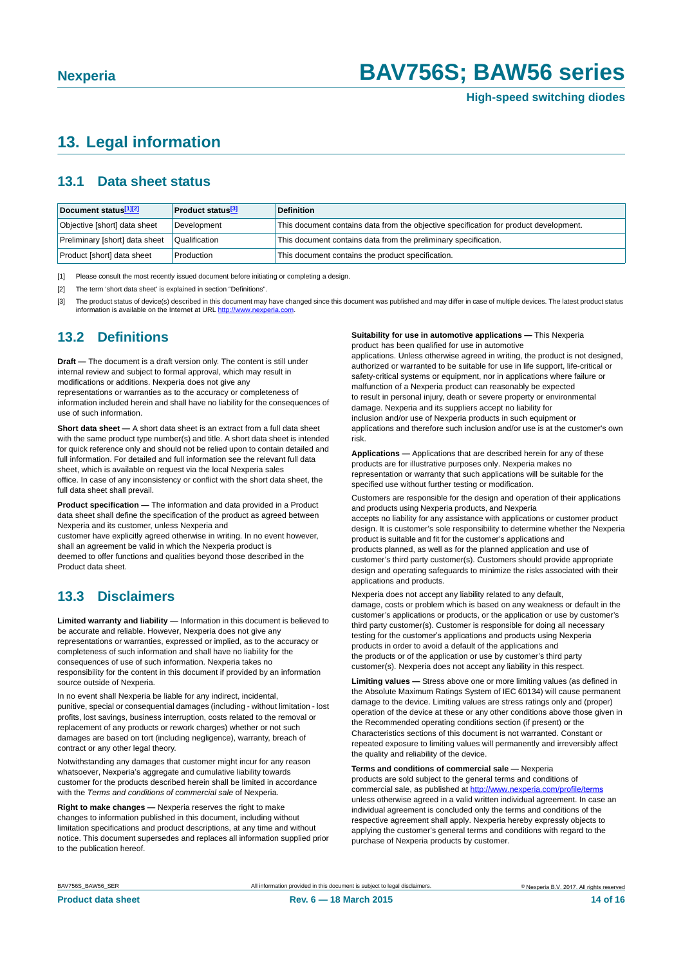#### <span id="page-13-3"></span>**13. Legal information**

#### <span id="page-13-4"></span>**13.1 Data sheet status**

| Document status[1][2]          | <b>Product status</b> <sup>[3]</sup> | <b>Definition</b>                                                                     |
|--------------------------------|--------------------------------------|---------------------------------------------------------------------------------------|
| Objective [short] data sheet   | Development                          | This document contains data from the objective specification for product development. |
| Preliminary [short] data sheet | Qualification                        | This document contains data from the preliminary specification.                       |
| Product [short] data sheet     | Production                           | This document contains the product specification.                                     |

<span id="page-13-0"></span>[1] Please consult the most recently issued document before initiating or completing a design.

<span id="page-13-1"></span>[2] The term 'short data sheet' is explained in section "Definitions".

<span id="page-13-2"></span>[3] The product status of device(s) described in this document may have changed since this document was published and may differ in case of multiple devices. The latest product status<br>information is available on the Intern

#### <span id="page-13-5"></span>**13.2 Definitions**

**Draft —** The document is a draft version only. The content is still under internal review and subject to formal approval, which may result in modifications or additions. Nexperia does not give any

representations or warranties as to the accuracy or completeness of information included herein and shall have no liability for the consequences of use of such information.

**Short data sheet —** A short data sheet is an extract from a full data sheet with the same product type number(s) and title. A short data sheet is intended for quick reference only and should not be relied upon to contain detailed and full information. For detailed and full information see the relevant full data sheet, which is available on request via the local Nexperia sales office. In case of any inconsistency or conflict with the short data sheet, the full data sheet shall prevail.

**Product specification —** The information and data provided in a Product data sheet shall define the specification of the product as agreed between Nexperia and its customer, unless Nexperia and

customer have explicitly agreed otherwise in writing. In no event however, shall an agreement be valid in which the Nexperia product is deemed to offer functions and qualities beyond those described in the Product data sheet.

#### <span id="page-13-6"></span>**13.3 Disclaimers**

**Limited warranty and liability —** Information in this document is believed to be accurate and reliable. However, Nexperia does not give any representations or warranties, expressed or implied, as to the accuracy or completeness of such information and shall have no liability for the consequences of use of such information. Nexperia takes no responsibility for the content in this document if provided by an information source outside of Nexperia.

In no event shall Nexperia be liable for any indirect, incidental, punitive, special or consequential damages (including - without limitation - lost profits, lost savings, business interruption, costs related to the removal or replacement of any products or rework charges) whether or not such damages are based on tort (including negligence), warranty, breach of contract or any other legal theory.

Notwithstanding any damages that customer might incur for any reason whatsoever, Nexperia's aggregate and cumulative liability towards customer for the products described herein shall be limited in accordance with the *Terms and conditions of commercial sale* of Nexperia.

**Right to make changes —** Nexperia reserves the right to make changes to information published in this document, including without limitation specifications and product descriptions, at any time and without notice. This document supersedes and replaces all information supplied prior to the publication hereof.

#### **Suitability for use in automotive applications —** This Nexperia product has been qualified for use in automotive

applications. Unless otherwise agreed in writing, the product is not designed, authorized or warranted to be suitable for use in life support, life-critical or safety-critical systems or equipment, nor in applications where failure or malfunction of a Nexperia product can reasonably be expected to result in personal injury, death or severe property or environmental damage. Nexperia and its suppliers accept no liability for inclusion and/or use of Nexperia products in such equipment or applications and therefore such inclusion and/or use is at the customer's own risk.

**Applications —** Applications that are described herein for any of these products are for illustrative purposes only. Nexperia makes no representation or warranty that such applications will be suitable for the specified use without further testing or modification.

Customers are responsible for the design and operation of their applications and products using Nexperia products, and Nexperia accepts no liability for any assistance with applications or customer product design. It is customer's sole responsibility to determine whether the Nexperia product is suitable and fit for the customer's applications and products planned, as well as for the planned application and use of customer's third party customer(s). Customers should provide appropriate design and operating safeguards to minimize the risks associated with their applications and products.

Nexperia does not accept any liability related to any default, damage, costs or problem which is based on any weakness or default in the customer's applications or products, or the application or use by customer's third party customer(s). Customer is responsible for doing all necessary testing for the customer's applications and products using Nexperia products in order to avoid a default of the applications and the products or of the application or use by customer's third party customer(s). Nexperia does not accept any liability in this respect.

**Limiting values —** Stress above one or more limiting values (as defined in the Absolute Maximum Ratings System of IEC 60134) will cause permanent damage to the device. Limiting values are stress ratings only and (proper) operation of the device at these or any other conditions above those given in the Recommended operating conditions section (if present) or the Characteristics sections of this document is not warranted. Constant or repeated exposure to limiting values will permanently and irreversibly affect the quality and reliability of the device.

**Terms and conditions of commercial sale —** Nexperia

products are sold subject to the general terms and conditions of commercial sale, as published at [http://www.nexperia.c](http://www.nexperia.com/profile/terms)om/profile/terms unless otherwise agreed in a valid written individual agreement. In case an individual agreement is concluded only the terms and conditions of the respective agreement shall apply. Nexperia hereby expressly objects to applying the customer's general terms and conditions with regard to the purchase of Nexperia products by customer.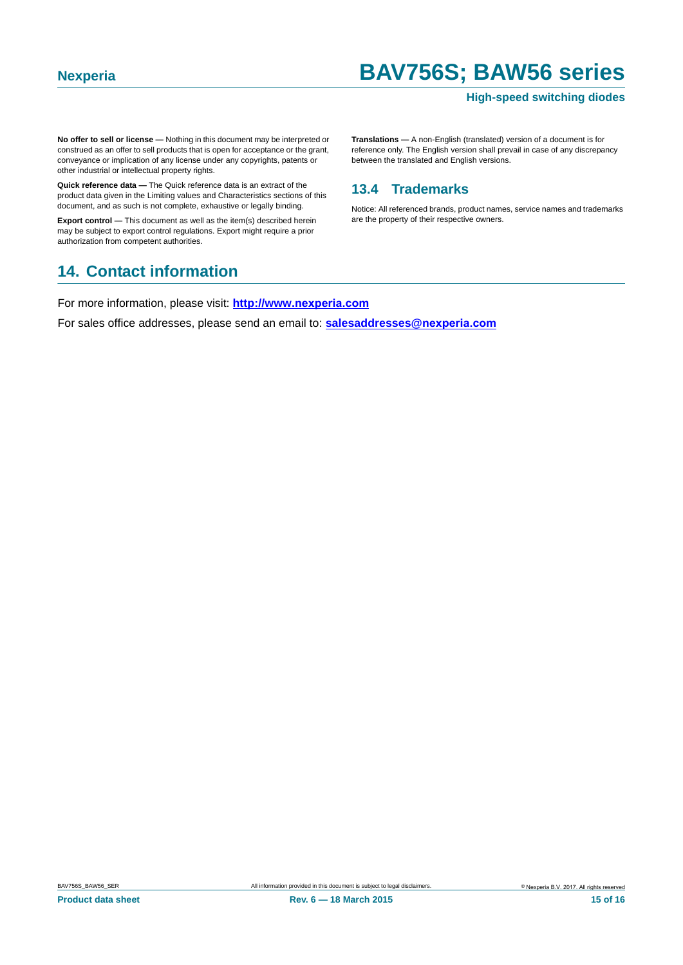#### **High-speed switching diodes**

**No offer to sell or license —** Nothing in this document may be interpreted or construed as an offer to sell products that is open for acceptance or the grant, conveyance or implication of any license under any copyrights, patents or other industrial or intellectual property rights.

**Quick reference data —** The Quick reference data is an extract of the product data given in the Limiting values and Characteristics sections of this document, and as such is not complete, exhaustive or legally binding.

**Export control —** This document as well as the item(s) described herein may be subject to export control regulations. Export might require a prior authorization from competent authorities.

**Translations —** A non-English (translated) version of a document is for reference only. The English version shall prevail in case of any discrepancy between the translated and English versions.

#### <span id="page-14-1"></span>**13.4 Trademarks**

Notice: All referenced brands, product names, service names and trademarks are the property of their respective owners.

#### <span id="page-14-0"></span>**14. Contact information**

For more information, please visit: **http://www.nexperia.com**

For sales office addresses, please send an email to: **salesaddresses@nexperia.com**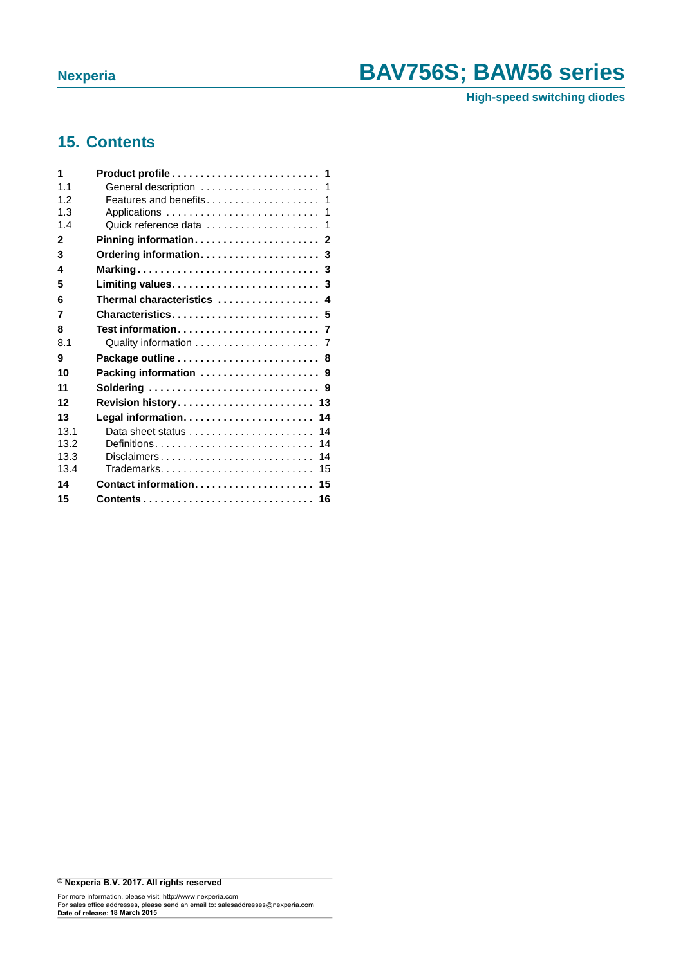**High-speed switching diodes**

#### <span id="page-15-0"></span>**15. Contents**

| 1    |                            |
|------|----------------------------|
| 1.1  | General description  1     |
| 1.2  |                            |
| 1.3  |                            |
| 1.4  |                            |
| 2    |                            |
| 3    |                            |
| 4    |                            |
| 5    |                            |
| 6    | Thermal characteristics  4 |
| 7    | Characteristics 5          |
| 8    |                            |
| 8.1  |                            |
| 9    | Package outline  8         |
| 10   | Packing information  9     |
| 11   | Soldering  9               |
| 12   | Revision history 13        |
| 13   | 14                         |
| 13.1 | 14                         |
| 13.2 | Definitions<br>14          |
| 13.3 | Disclaimers<br>14          |
| 13.4 | Trademarks<br>15           |
| 14   | Contact information<br>15  |
| 15   | 16                         |